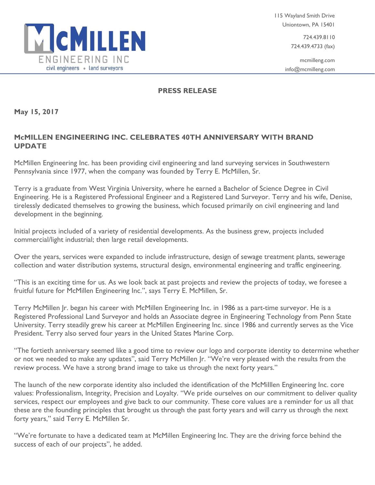

724.439.8110 724.439.4733 (fax)

mcmilleng.com info@mcmilleng.com

## **PRESS RELEASE**

**May 15, 2017**

## **McMILLEN ENGINEERING INC. CELEBRATES 40TH ANNIVERSARY WITH BRAND UPDATE**

McMillen Engineering Inc. has been providing civil engineering and land surveying services in Southwestern Pennsylvania since 1977, when the company was founded by Terry E. McMillen, Sr.

Terry is a graduate from West Virginia University, where he earned a Bachelor of Science Degree in Civil Engineering. He is a Registered Professional Engineer and a Registered Land Surveyor. Terry and his wife, Denise, tirelessly dedicated themselves to growing the business, which focused primarily on civil engineering and land development in the beginning.

Initial projects included of a variety of residential developments. As the business grew, projects included commercial/light industrial; then large retail developments.

Over the years, services were expanded to include infrastructure, design of sewage treatment plants, sewerage collection and water distribution systems, structural design, environmental engineering and traffic engineering.

"This is an exciting time for us. As we look back at past projects and review the projects of today, we foresee a fruitful future for McMillen Engineering Inc.", says Terry E. McMillen, Sr.

Terry McMillen Jr. began his career with McMillen Engineering Inc. in 1986 as a part-time surveyor. He is a Registered Professional Land Surveyor and holds an Associate degree in Engineering Technology from Penn State University. Terry steadily grew his career at McMillen Engineering Inc. since 1986 and currently serves as the Vice President. Terry also served four years in the United States Marine Corp.

"The fortieth anniversary seemed like a good time to review our logo and corporate identity to determine whether or not we needed to make any updates", said Terry McMillen Jr. "We're very pleased with the results from the review process. We have a strong brand image to take us through the next forty years."

The launch of the new corporate identity also included the identification of the McMiIllen Engineering Inc. core values: Professionalism, Integrity, Precision and Loyalty. "We pride ourselves on our commitment to deliver quality services, respect our employees and give back to our community. These core values are a reminder for us all that these are the founding principles that brought us through the past forty years and will carry us through the next forty years," said Terry E. McMillen Sr.

"We're fortunate to have a dedicated team at McMillen Engineering Inc. They are the driving force behind the success of each of our projects", he added.